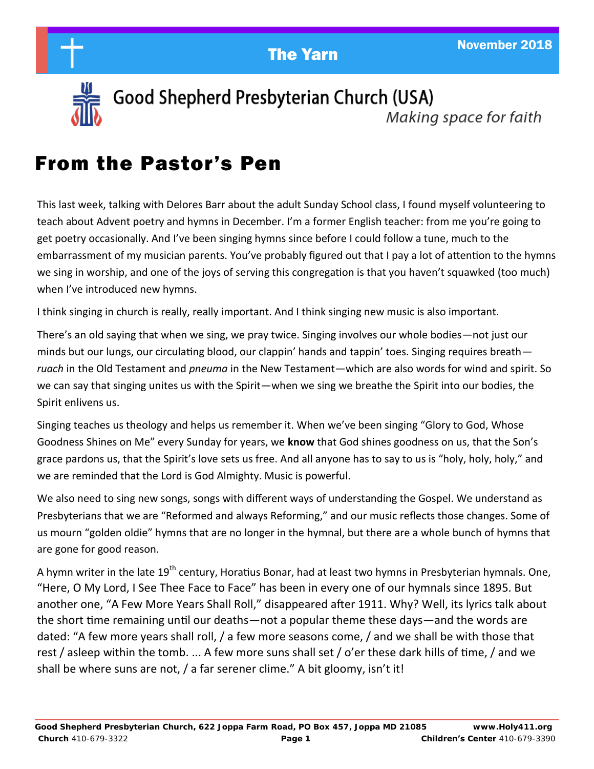

Good Shepherd Presbyterian Church (USA) Making space for faith

## From the Pastor's Pen

This last week, talking with Delores Barr about the adult Sunday School class, I found myself volunteering to teach about Advent poetry and hymns in December. I'm a former English teacher: from me you're going to get poetry occasionally. And I've been singing hymns since before I could follow a tune, much to the embarrassment of my musician parents. You've probably figured out that I pay a lot of attention to the hymns we sing in worship, and one of the joys of serving this congregation is that you haven't squawked (too much) when I've introduced new hymns.

I think singing in church is really, really important. And I think singing new music is also important.

There's an old saying that when we sing, we pray twice. Singing involves our whole bodies—not just our minds but our lungs, our circulating blood, our clappin' hands and tappin' toes. Singing requires breath *ruach* in the Old Testament and *pneuma* in the New Testament—which are also words for wind and spirit. So we can say that singing unites us with the Spirit—when we sing we breathe the Spirit into our bodies, the Spirit enlivens us.

Singing teaches us theology and helps us remember it. When we've been singing "Glory to God, Whose Goodness Shines on Me" every Sunday for years, we **know** that God shines goodness on us, that the Son's grace pardons us, that the Spirit's love sets us free. And all anyone has to say to us is "holy, holy, holy," and we are reminded that the Lord is God Almighty. Music is powerful.

We also need to sing new songs, songs with different ways of understanding the Gospel. We understand as Presbyterians that we are "Reformed and always Reforming," and our music reflects those changes. Some of us mourn "golden oldie" hymns that are no longer in the hymnal, but there are a whole bunch of hymns that are gone for good reason.

A hymn writer in the late 19<sup>th</sup> century, Horatius Bonar, had at least two hymns in Presbyterian hymnals. One, "Here, O My Lord, I See Thee Face to Face" has been in every one of our hymnals since 1895. But another one, "A Few More Years Shall Roll," disappeared after 1911. Why? Well, its lyrics talk about the short time remaining until our deaths—not a popular theme these days—and the words are dated: "A few more years shall roll, / a few more seasons come, / and we shall be with those that rest / asleep within the tomb. ... A few more suns shall set / o'er these dark hills of time, / and we shall be where suns are not, / a far serener clime." A bit gloomy, isn't it!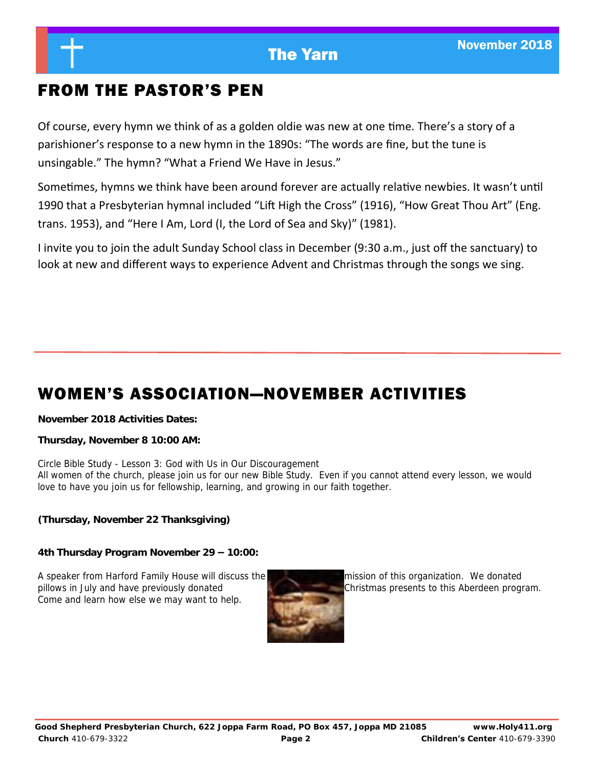### FROM THE PASTOR'S PEN

Of course, every hymn we think of as a golden oldie was new at one time. There's a story of a parishioner's response to a new hymn in the 1890s: "The words are fine, but the tune is unsingable." The hymn? "What a Friend We Have in Jesus."

Sometimes, hymns we think have been around forever are actually relative newbies. It wasn't until 1990 that a Presbyterian hymnal included "Lift High the Cross" (1916), "How Great Thou Art" (Eng. trans. 1953), and "Here I Am, Lord (I, the Lord of Sea and Sky)" (1981).

I invite you to join the adult Sunday School class in December (9:30 a.m., just off the sanctuary) to look at new and different ways to experience Advent and Christmas through the songs we sing.

### WOMEN'S ASSOCIATION—NOVEMBER ACTIVITIES

**November 2018 Activities Dates:**

**Thursday, November 8 10:00 AM:**

Circle Bible Study - Lesson 3: God with Us in Our Discouragement All women of the church, please join us for our new Bible Study. Even if you cannot attend every lesson, we would love to have you join us for fellowship, learning, and growing in our faith together.

**(Thursday, November 22 Thanksgiving)**

**4th Thursday Program November 29 – 10:00:**

A speaker from Harford Family House will discuss the mission of this organization. We donated pillows in July and have previously donated **Christmas** Christmas presents to this Aberdeen program. Come and learn how else we may want to help.

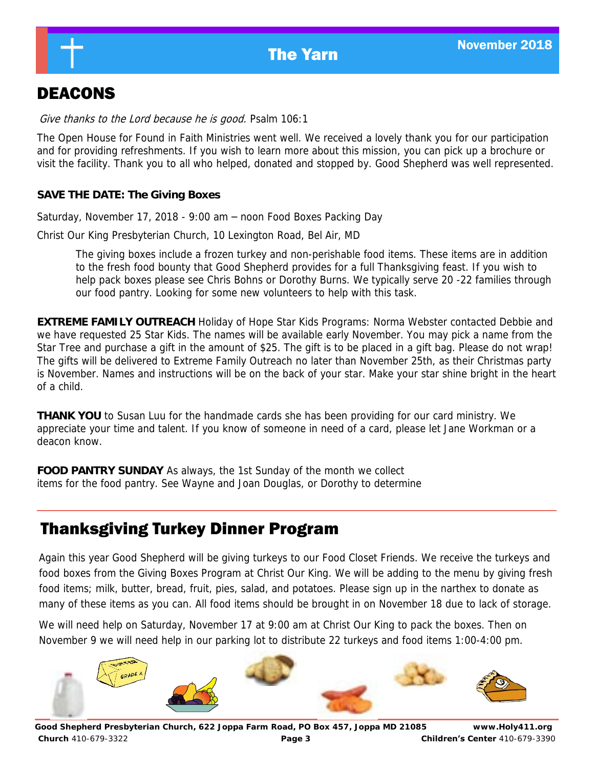### DEACONS

Give thanks to the Lord because he is good. Psalm 106:1

The Open House for Found in Faith Ministries went well. We received a lovely thank you for our participation and for providing refreshments. If you wish to learn more about this mission, you can pick up a brochure or visit the facility. Thank you to all who helped, donated and stopped by. Good Shepherd was well represented.

**SAVE THE DATE: The Giving Boxes**

Saturday, November 17, 2018 - 9:00 am – noon Food Boxes Packing Day

Christ Our King Presbyterian Church, 10 Lexington Road, Bel Air, MD

The giving boxes include a frozen turkey and non-perishable food items. These items are in addition to the fresh food bounty that Good Shepherd provides for a full Thanksgiving feast. If you wish to help pack boxes please see Chris Bohns or Dorothy Burns. We typically serve 20 -22 families through our food pantry. Looking for some new volunteers to help with this task.

**EXTREME FAMILY OUTREACH** Holiday of Hope Star Kids Programs: Norma Webster contacted Debbie and we have requested 25 Star Kids. The names will be available early November. You may pick a name from the Star Tree and purchase a gift in the amount of \$25. The gift is to be placed in a gift bag. Please do not wrap! The gifts will be delivered to Extreme Family Outreach no later than November 25th, as their Christmas party is November. Names and instructions will be on the back of your star. Make your star shine bright in the heart of a child.

**THANK YOU** to Susan Luu for the handmade cards she has been providing for our card ministry. We appreciate your time and talent. If you know of someone in need of a card, please let Jane Workman or a deacon know.

**FOOD PANTRY SUNDAY** As always, the 1st Sunday of the month we collect items for the food pantry. See Wayne and Joan Douglas, or Dorothy to determine

### Thanksgiving Turkey Dinner Program

Again this year Good Shepherd will be giving turkeys to our Food Closet Friends. We receive the turkeys and food boxes from the Giving Boxes Program at Christ Our King. We will be adding to the menu by giving fresh food items; milk, butter, bread, fruit, pies, salad, and potatoes. Please sign up in the narthex to donate as many of these items as you can. All food items should be brought in on November 18 due to lack of storage.

We will need help on Saturday, November 17 at 9:00 am at Christ Our King to pack the boxes. Then on November 9 we will need help in our parking lot to distribute 22 turkeys and food items 1:00-4:00 pm.

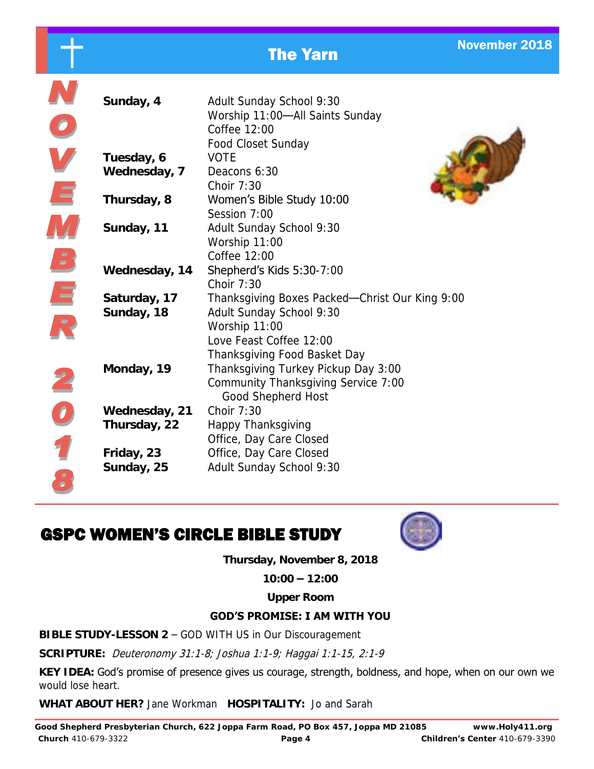|               | <b>The Yarn</b>                                                                                   | <b>November 2018</b> |
|---------------|---------------------------------------------------------------------------------------------------|----------------------|
|               |                                                                                                   |                      |
| Sunday, 4     | Adult Sunday School 9:30<br>Worship 11:00-All Saints Sunday<br>Coffee 12:00<br>Food Closet Sunday |                      |
| Tuesday, 6    | <b>VOTE</b>                                                                                       |                      |
| Wednesday, 7  | Deacons 6:30<br>Choir 7:30                                                                        |                      |
| Thursday, 8   | Women's Bible Study 10:00<br>Session 7:00                                                         |                      |
| Sunday, 11    | Adult Sunday School 9:30<br>Worship 11:00<br>Coffee 12:00                                         |                      |
| Wednesday, 14 | Shepherd's Kids 5:30-7:00<br>Choir 7:30                                                           |                      |
| Saturday, 17  | Thanksgiving Boxes Packed-Christ Our King 9:00<br>Adult Sunday School 9:30                        |                      |
| Sunday, 18    | Worship 11:00                                                                                     |                      |
|               | Love Feast Coffee 12:00                                                                           |                      |
|               | Thanksgiving Food Basket Day                                                                      |                      |

Community Thanksgiving Service 7:00

### GSPC WOMEN'S CIRCLE BIBLE STUDY

**Wednesday, 21** Choir 7:30

N<br>O<br>V<br>E

M

 $\mathbf{B}$ 

 $\overline{\mathbf{r}}$ 

**201** 

**Thursday, 22** Happy Thanksgiving

**Friday, 23** Office, Day Care Closed **Sunday, 25** Adult Sunday School 9:30



**Thursday, November 8, 2018**

**Monday, 19** Thanksgiving Turkey Pickup Day 3:00

Good Shepherd Host

Office, Day Care Closed

**10:00 – 12:00** 

**Upper Room**

### **GOD'S PROMISE: I AM WITH YOU**

**BIBLE STUDY-LESSON 2** – GOD WITH US in Our Discouragement

**SCRIPTURE:** Deuteronomy 31:1-8; Joshua 1:1-9; Haggai 1:1-15, 2:1-9

**KEY IDEA:** God's promise of presence gives us courage, strength, boldness, and hope, when on our own we would lose heart.

**WHAT ABOUT HER?** Jane Workman **HOSPITALITY:** Jo and Sarah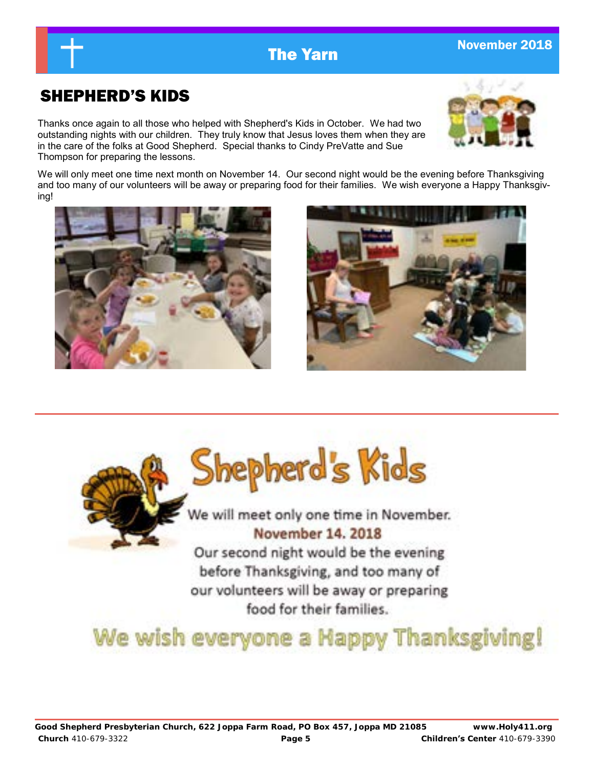### SHEPHERD'S KIDS

Thanks once again to all those who helped with Shepherd's Kids in October. We had two outstanding nights with our children. They truly know that Jesus loves them when they are in the care of the folks at Good Shepherd. Special thanks to Cindy PreVatte and Sue Thompson for preparing the lessons.

We will only meet one time next month on November 14. Our second night would be the evening before Thanksgiving and too many of our volunteers will be away or preparing food for their families. We wish everyone a Happy Thanksgiving!



We will meet only one time in November. November 14, 2018

Our second night would be the evening before Thanksgiving, and too many of our volunteers will be away or preparing food for their families.

# We wish everyone a Happy Thanksgiving!







### **The Yarn November 2018**